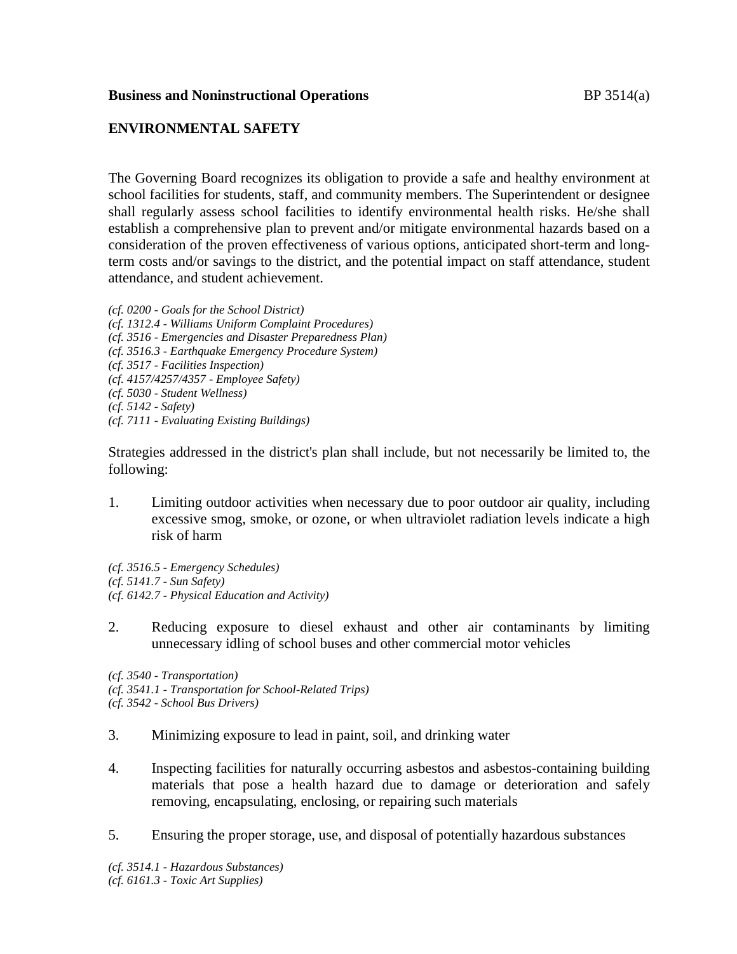## **Business and Noninstructional Operations BP** 3514(a)

# **ENVIRONMENTAL SAFETY**

The Governing Board recognizes its obligation to provide a safe and healthy environment at school facilities for students, staff, and community members. The Superintendent or designee shall regularly assess school facilities to identify environmental health risks. He/she shall establish a comprehensive plan to prevent and/or mitigate environmental hazards based on a consideration of the proven effectiveness of various options, anticipated short-term and longterm costs and/or savings to the district, and the potential impact on staff attendance, student attendance, and student achievement.

*(cf. 0200 - Goals for the School District) (cf. 1312.4 - Williams Uniform Complaint Procedures) (cf. 3516 - Emergencies and Disaster Preparedness Plan) (cf. 3516.3 - Earthquake Emergency Procedure System) (cf. 3517 - Facilities Inspection) (cf. 4157/4257/4357 - Employee Safety) (cf. 5030 - Student Wellness) (cf. 5142 - Safety) (cf. 7111 - Evaluating Existing Buildings)*

Strategies addressed in the district's plan shall include, but not necessarily be limited to, the following:

1. Limiting outdoor activities when necessary due to poor outdoor air quality, including excessive smog, smoke, or ozone, or when ultraviolet radiation levels indicate a high risk of harm

*(cf. 3516.5 - Emergency Schedules) (cf. 5141.7 - Sun Safety) (cf. 6142.7 - Physical Education and Activity)*

2. Reducing exposure to diesel exhaust and other air contaminants by limiting unnecessary idling of school buses and other commercial motor vehicles

*(cf. 3540 - Transportation)*

*(cf. 3541.1 - Transportation for School-Related Trips)*

*(cf. 3542 - School Bus Drivers)*

- 3. Minimizing exposure to lead in paint, soil, and drinking water
- 4. Inspecting facilities for naturally occurring asbestos and asbestos-containing building materials that pose a health hazard due to damage or deterioration and safely removing, encapsulating, enclosing, or repairing such materials
- 5. Ensuring the proper storage, use, and disposal of potentially hazardous substances

*(cf. 3514.1 - Hazardous Substances) (cf. 6161.3 - Toxic Art Supplies)*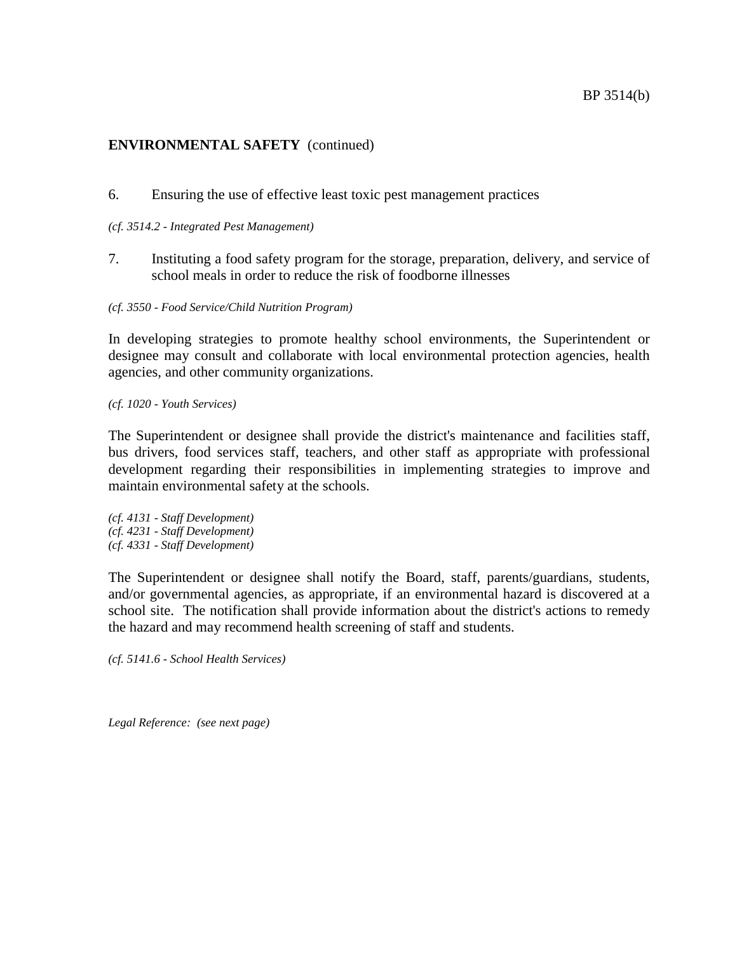6. Ensuring the use of effective least toxic pest management practices

#### *(cf. 3514.2 - Integrated Pest Management)*

7. Instituting a food safety program for the storage, preparation, delivery, and service of school meals in order to reduce the risk of foodborne illnesses

*(cf. 3550 - Food Service/Child Nutrition Program)*

In developing strategies to promote healthy school environments, the Superintendent or designee may consult and collaborate with local environmental protection agencies, health agencies, and other community organizations.

*(cf. 1020 - Youth Services)*

The Superintendent or designee shall provide the district's maintenance and facilities staff, bus drivers, food services staff, teachers, and other staff as appropriate with professional development regarding their responsibilities in implementing strategies to improve and maintain environmental safety at the schools.

*(cf. 4131 - Staff Development) (cf. 4231 - Staff Development) (cf. 4331 - Staff Development)*

The Superintendent or designee shall notify the Board, staff, parents/guardians, students, and/or governmental agencies, as appropriate, if an environmental hazard is discovered at a school site. The notification shall provide information about the district's actions to remedy the hazard and may recommend health screening of staff and students.

*(cf. 5141.6 - School Health Services)*

*Legal Reference: (see next page)*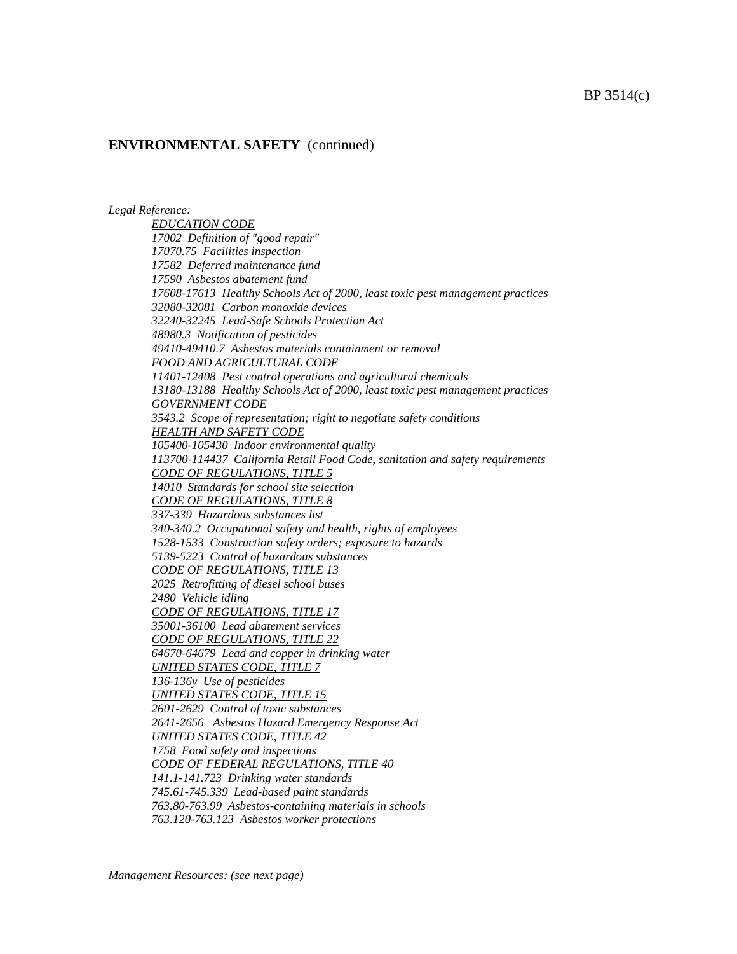*Legal Reference:*

*EDUCATION CODE 17002 Definition of "good repair" 17070.75 Facilities inspection 17582 Deferred maintenance fund 17590 Asbestos abatement fund 17608-17613 Healthy Schools Act of 2000, least toxic pest management practices 32080-32081 Carbon monoxide devices 32240-32245 Lead-Safe Schools Protection Act 48980.3 Notification of pesticides 49410-49410.7 Asbestos materials containment or removal FOOD AND AGRICULTURAL CODE 11401-12408 Pest control operations and agricultural chemicals 13180-13188 Healthy Schools Act of 2000, least toxic pest management practices GOVERNMENT CODE 3543.2 Scope of representation; right to negotiate safety conditions HEALTH AND SAFETY CODE 105400-105430 Indoor environmental quality 113700-114437 California Retail Food Code, sanitation and safety requirements CODE OF REGULATIONS, TITLE 5 14010 Standards for school site selection CODE OF REGULATIONS, TITLE 8 337-339 Hazardous substances list 340-340.2 Occupational safety and health, rights of employees 1528-1533 Construction safety orders; exposure to hazards 5139-5223 Control of hazardous substances CODE OF REGULATIONS, TITLE 13 2025 Retrofitting of diesel school buses 2480 Vehicle idling CODE OF REGULATIONS, TITLE 17 35001-36100 Lead abatement services CODE OF REGULATIONS, TITLE 22 64670-64679 Lead and copper in drinking water UNITED STATES CODE, TITLE 7 136-136y Use of pesticides UNITED STATES CODE, TITLE 15 2601-2629 Control of toxic substances 2641-2656 Asbestos Hazard Emergency Response Act UNITED STATES CODE, TITLE 42 1758 Food safety and inspections CODE OF FEDERAL REGULATIONS, TITLE 40 141.1-141.723 Drinking water standards 745.61-745.339 Lead-based paint standards 763.80-763.99 Asbestos-containing materials in schools 763.120-763.123 Asbestos worker protections*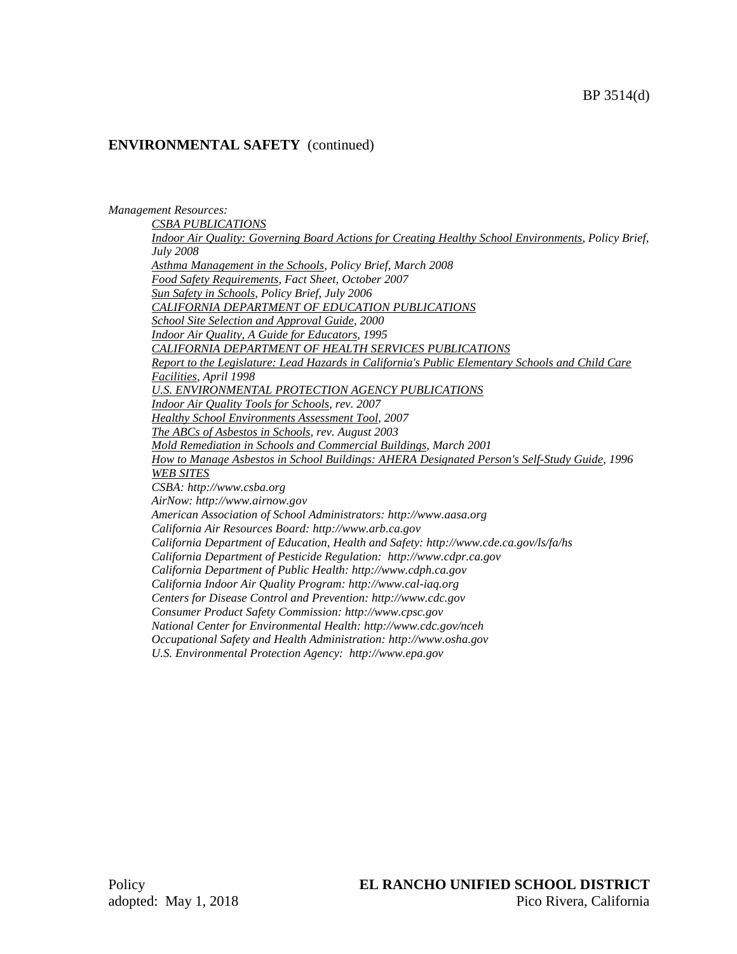*Management Resources:*

*CSBA PUBLICATIONS Indoor Air Quality: Governing Board Actions for Creating Healthy School Environments, Policy Brief, July 2008 Asthma Management in the Schools, Policy Brief, March 2008 Food Safety Requirements, Fact Sheet, October 2007 Sun Safety in Schools, Policy Brief, July 2006 CALIFORNIA DEPARTMENT OF EDUCATION PUBLICATIONS School Site Selection and Approval Guide, 2000 Indoor Air Quality, A Guide for Educators, 1995 CALIFORNIA DEPARTMENT OF HEALTH SERVICES PUBLICATIONS Report to the Legislature: Lead Hazards in California's Public Elementary Schools and Child Care Facilities, April 1998 U.S. ENVIRONMENTAL PROTECTION AGENCY PUBLICATIONS Indoor Air Quality Tools for Schools, rev. 2007 Healthy School Environments Assessment Tool, 2007 The ABCs of Asbestos in Schools, rev. August 2003 Mold Remediation in Schools and Commercial Buildings, March 2001 How to Manage Asbestos in School Buildings: AHERA Designated Person's Self-Study Guide, 1996 WEB SITES CSBA: http://www.csba.org AirNow: http://www.airnow.gov American Association of School Administrators: http://www.aasa.org California Air Resources Board: http://www.arb.ca.gov California Department of Education, Health and Safety: http://www.cde.ca.gov/ls/fa/hs California Department of Pesticide Regulation: http://www.cdpr.ca.gov California Department of Public Health: http://www.cdph.ca.gov California Indoor Air Quality Program: http://www.cal-iaq.org Centers for Disease Control and Prevention: http://www.cdc.gov Consumer Product Safety Commission: http://www.cpsc.gov National Center for Environmental Health: http://www.cdc.gov/nceh Occupational Safety and Health Administration: http://www.osha.gov*

*U.S. Environmental Protection Agency: http://www.epa.gov*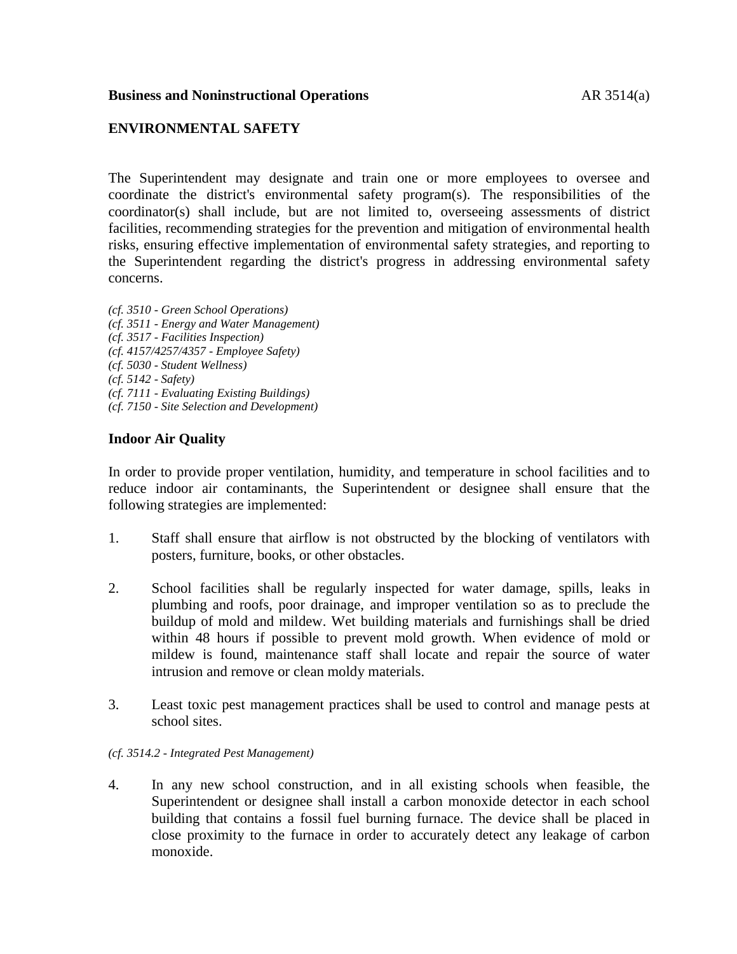## **Business and Noninstructional Operations AR** 3514(a)

## **ENVIRONMENTAL SAFETY**

The Superintendent may designate and train one or more employees to oversee and coordinate the district's environmental safety program(s). The responsibilities of the coordinator(s) shall include, but are not limited to, overseeing assessments of district facilities, recommending strategies for the prevention and mitigation of environmental health risks, ensuring effective implementation of environmental safety strategies, and reporting to the Superintendent regarding the district's progress in addressing environmental safety concerns.

*(cf. 3510 - Green School Operations) (cf. 3511 - Energy and Water Management) (cf. 3517 - Facilities Inspection) (cf. 4157/4257/4357 - Employee Safety) (cf. 5030 - Student Wellness) (cf. 5142 - Safety) (cf. 7111 - Evaluating Existing Buildings) (cf. 7150 - Site Selection and Development)*

## **Indoor Air Quality**

In order to provide proper ventilation, humidity, and temperature in school facilities and to reduce indoor air contaminants, the Superintendent or designee shall ensure that the following strategies are implemented:

- 1. Staff shall ensure that airflow is not obstructed by the blocking of ventilators with posters, furniture, books, or other obstacles.
- 2. School facilities shall be regularly inspected for water damage, spills, leaks in plumbing and roofs, poor drainage, and improper ventilation so as to preclude the buildup of mold and mildew. Wet building materials and furnishings shall be dried within 48 hours if possible to prevent mold growth. When evidence of mold or mildew is found, maintenance staff shall locate and repair the source of water intrusion and remove or clean moldy materials.
- 3. Least toxic pest management practices shall be used to control and manage pests at school sites.

### *(cf. 3514.2 - Integrated Pest Management)*

4. In any new school construction, and in all existing schools when feasible, the Superintendent or designee shall install a carbon monoxide detector in each school building that contains a fossil fuel burning furnace. The device shall be placed in close proximity to the furnace in order to accurately detect any leakage of carbon monoxide.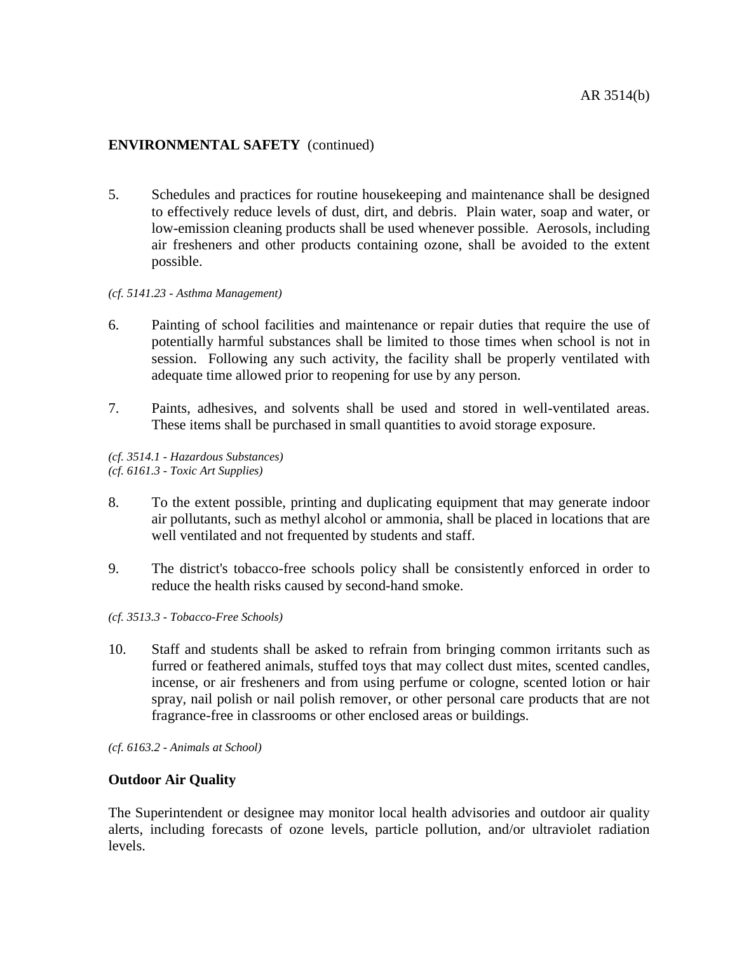5. Schedules and practices for routine housekeeping and maintenance shall be designed to effectively reduce levels of dust, dirt, and debris. Plain water, soap and water, or low-emission cleaning products shall be used whenever possible. Aerosols, including air fresheners and other products containing ozone, shall be avoided to the extent possible.

#### *(cf. 5141.23 - Asthma Management)*

- 6. Painting of school facilities and maintenance or repair duties that require the use of potentially harmful substances shall be limited to those times when school is not in session. Following any such activity, the facility shall be properly ventilated with adequate time allowed prior to reopening for use by any person.
- 7. Paints, adhesives, and solvents shall be used and stored in well-ventilated areas. These items shall be purchased in small quantities to avoid storage exposure.

*(cf. 3514.1 - Hazardous Substances) (cf. 6161.3 - Toxic Art Supplies)*

- 8. To the extent possible, printing and duplicating equipment that may generate indoor air pollutants, such as methyl alcohol or ammonia, shall be placed in locations that are well ventilated and not frequented by students and staff.
- 9. The district's tobacco-free schools policy shall be consistently enforced in order to reduce the health risks caused by second-hand smoke.
- *(cf. 3513.3 - Tobacco-Free Schools)*
- 10. Staff and students shall be asked to refrain from bringing common irritants such as furred or feathered animals, stuffed toys that may collect dust mites, scented candles, incense, or air fresheners and from using perfume or cologne, scented lotion or hair spray, nail polish or nail polish remover, or other personal care products that are not fragrance-free in classrooms or other enclosed areas or buildings.

*(cf. 6163.2 - Animals at School)*

### **Outdoor Air Quality**

The Superintendent or designee may monitor local health advisories and outdoor air quality alerts, including forecasts of ozone levels, particle pollution, and/or ultraviolet radiation levels.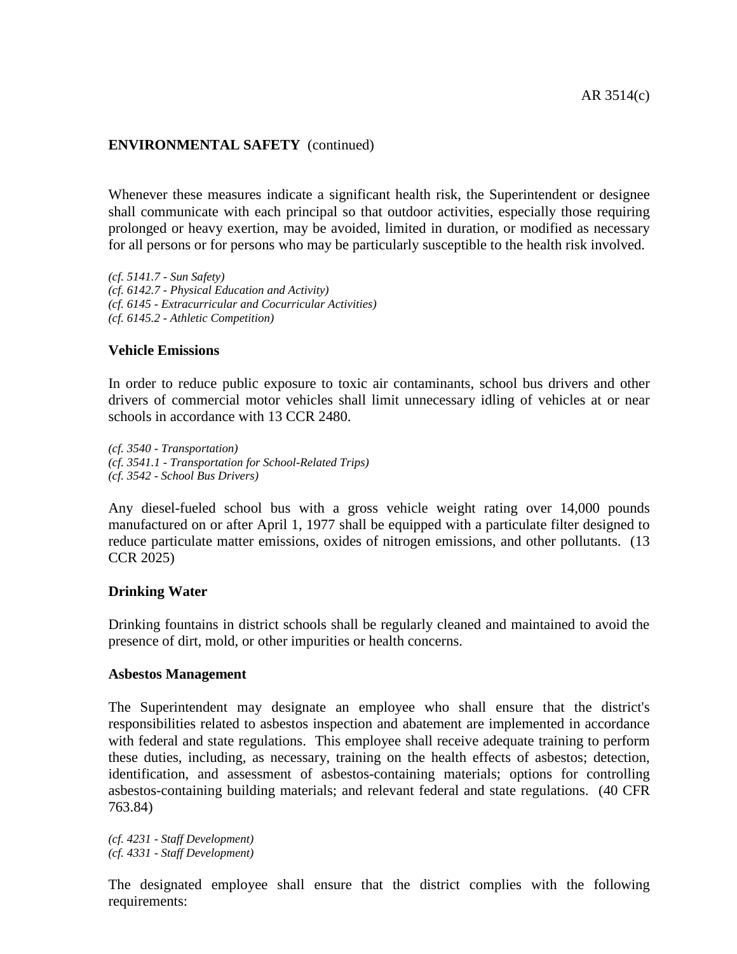Whenever these measures indicate a significant health risk, the Superintendent or designee shall communicate with each principal so that outdoor activities, especially those requiring prolonged or heavy exertion, may be avoided, limited in duration, or modified as necessary for all persons or for persons who may be particularly susceptible to the health risk involved.

*(cf. 5141.7 - Sun Safety) (cf. 6142.7 - Physical Education and Activity) (cf. 6145 - Extracurricular and Cocurricular Activities) (cf. 6145.2 - Athletic Competition)*

## **Vehicle Emissions**

In order to reduce public exposure to toxic air contaminants, school bus drivers and other drivers of commercial motor vehicles shall limit unnecessary idling of vehicles at or near schools in accordance with 13 CCR 2480.

*(cf. 3540 - Transportation) (cf. 3541.1 - Transportation for School-Related Trips) (cf. 3542 - School Bus Drivers)*

Any diesel-fueled school bus with a gross vehicle weight rating over 14,000 pounds manufactured on or after April 1, 1977 shall be equipped with a particulate filter designed to reduce particulate matter emissions, oxides of nitrogen emissions, and other pollutants. (13 CCR 2025)

### **Drinking Water**

Drinking fountains in district schools shall be regularly cleaned and maintained to avoid the presence of dirt, mold, or other impurities or health concerns.

### **Asbestos Management**

The Superintendent may designate an employee who shall ensure that the district's responsibilities related to asbestos inspection and abatement are implemented in accordance with federal and state regulations. This employee shall receive adequate training to perform these duties, including, as necessary, training on the health effects of asbestos; detection, identification, and assessment of asbestos-containing materials; options for controlling asbestos-containing building materials; and relevant federal and state regulations. (40 CFR 763.84)

*(cf. 4231 - Staff Development) (cf. 4331 - Staff Development)*

The designated employee shall ensure that the district complies with the following requirements: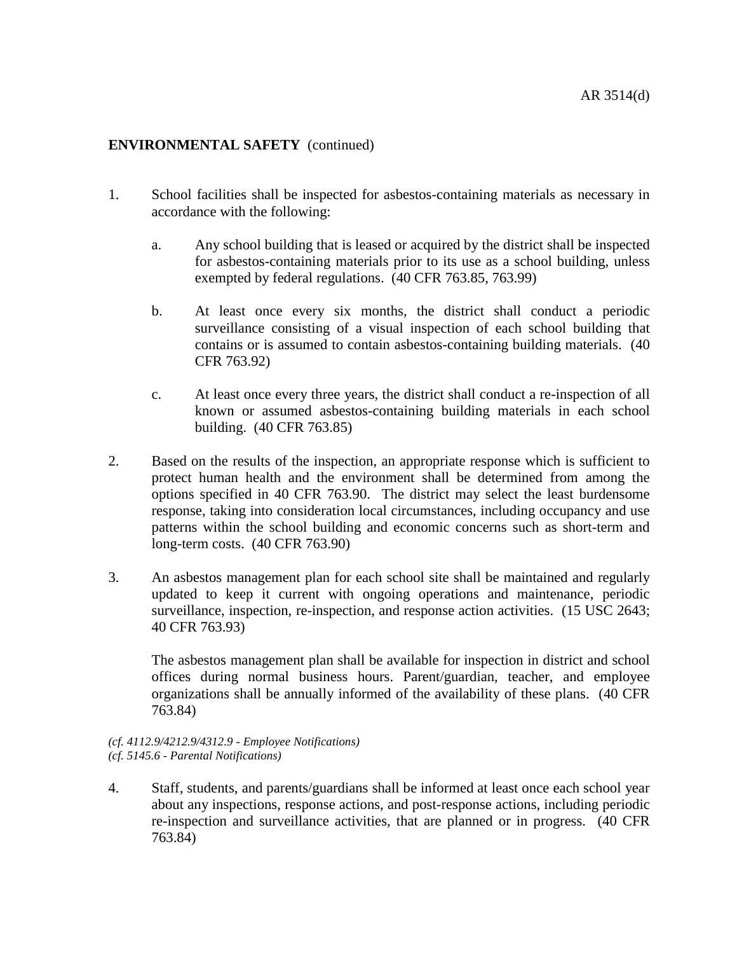- 1. School facilities shall be inspected for asbestos-containing materials as necessary in accordance with the following:
	- a. Any school building that is leased or acquired by the district shall be inspected for asbestos-containing materials prior to its use as a school building, unless exempted by federal regulations. (40 CFR 763.85, 763.99)
	- b. At least once every six months, the district shall conduct a periodic surveillance consisting of a visual inspection of each school building that contains or is assumed to contain asbestos-containing building materials. (40 CFR 763.92)
	- c. At least once every three years, the district shall conduct a re-inspection of all known or assumed asbestos-containing building materials in each school building. (40 CFR 763.85)
- 2. Based on the results of the inspection, an appropriate response which is sufficient to protect human health and the environment shall be determined from among the options specified in 40 CFR 763.90. The district may select the least burdensome response, taking into consideration local circumstances, including occupancy and use patterns within the school building and economic concerns such as short-term and long-term costs. (40 CFR 763.90)
- 3. An asbestos management plan for each school site shall be maintained and regularly updated to keep it current with ongoing operations and maintenance, periodic surveillance, inspection, re-inspection, and response action activities. (15 USC 2643; 40 CFR 763.93)

The asbestos management plan shall be available for inspection in district and school offices during normal business hours. Parent/guardian, teacher, and employee organizations shall be annually informed of the availability of these plans. (40 CFR 763.84)

#### *(cf. 4112.9/4212.9/4312.9 - Employee Notifications) (cf. 5145.6 - Parental Notifications)*

4. Staff, students, and parents/guardians shall be informed at least once each school year about any inspections, response actions, and post-response actions, including periodic re-inspection and surveillance activities, that are planned or in progress. (40 CFR 763.84)